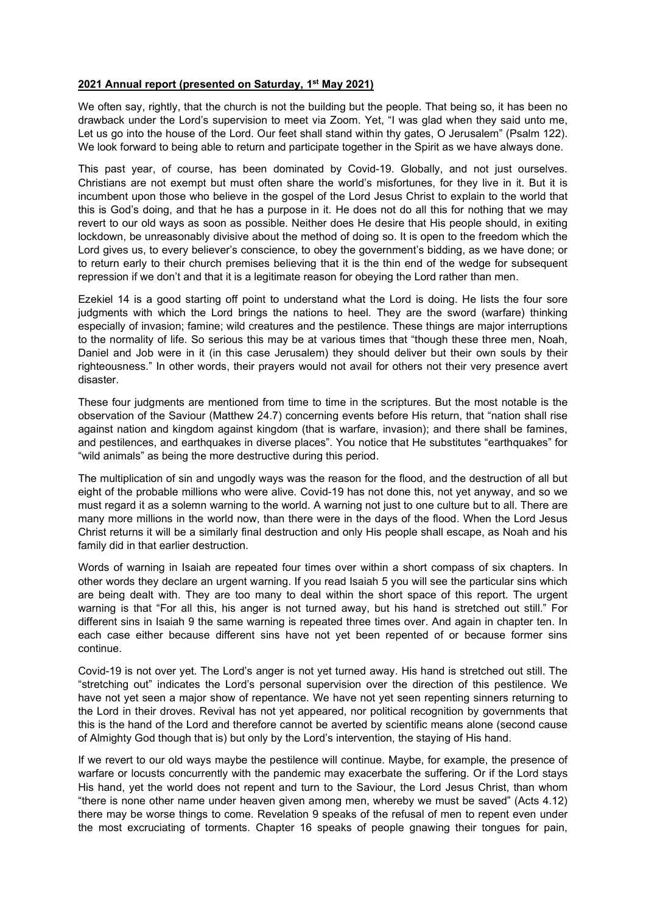## 2021 Annual report (presented on Saturday, 1<sup>st</sup> May 2021)

We often say, rightly, that the church is not the building but the people. That being so, it has been no drawback under the Lord's supervision to meet via Zoom. Yet, "I was glad when they said unto me, Let us go into the house of the Lord. Our feet shall stand within thy gates, O Jerusalem" (Psalm 122). We look forward to being able to return and participate together in the Spirit as we have always done.

This past year, of course, has been dominated by Covid-19. Globally, and not just ourselves. Christians are not exempt but must often share the world's misfortunes, for they live in it. But it is incumbent upon those who believe in the gospel of the Lord Jesus Christ to explain to the world that this is God's doing, and that he has a purpose in it. He does not do all this for nothing that we may revert to our old ways as soon as possible. Neither does He desire that His people should, in exiting lockdown, be unreasonably divisive about the method of doing so. It is open to the freedom which the Lord gives us, to every believer's conscience, to obey the government's bidding, as we have done; or to return early to their church premises believing that it is the thin end of the wedge for subsequent repression if we don't and that it is a legitimate reason for obeying the Lord rather than men.

Ezekiel 14 is a good starting off point to understand what the Lord is doing. He lists the four sore judgments with which the Lord brings the nations to heel. They are the sword (warfare) thinking especially of invasion; famine; wild creatures and the pestilence. These things are major interruptions to the normality of life. So serious this may be at various times that "though these three men, Noah, Daniel and Job were in it (in this case Jerusalem) they should deliver but their own souls by their righteousness." In other words, their prayers would not avail for others not their very presence avert disaster.

These four judgments are mentioned from time to time in the scriptures. But the most notable is the observation of the Saviour (Matthew 24.7) concerning events before His return, that "nation shall rise against nation and kingdom against kingdom (that is warfare, invasion); and there shall be famines, and pestilences, and earthquakes in diverse places". You notice that He substitutes "earthquakes" for "wild animals" as being the more destructive during this period.

The multiplication of sin and ungodly ways was the reason for the flood, and the destruction of all but eight of the probable millions who were alive. Covid-19 has not done this, not yet anyway, and so we must regard it as a solemn warning to the world. A warning not just to one culture but to all. There are many more millions in the world now, than there were in the days of the flood. When the Lord Jesus Christ returns it will be a similarly final destruction and only His people shall escape, as Noah and his family did in that earlier destruction.

Words of warning in Isaiah are repeated four times over within a short compass of six chapters. In other words they declare an urgent warning. If you read Isaiah 5 you will see the particular sins which are being dealt with. They are too many to deal within the short space of this report. The urgent warning is that "For all this, his anger is not turned away, but his hand is stretched out still." For different sins in Isaiah 9 the same warning is repeated three times over. And again in chapter ten. In each case either because different sins have not yet been repented of or because former sins continue.

Covid-19 is not over yet. The Lord's anger is not yet turned away. His hand is stretched out still. The "stretching out" indicates the Lord's personal supervision over the direction of this pestilence. We have not yet seen a major show of repentance. We have not yet seen repenting sinners returning to the Lord in their droves. Revival has not yet appeared, nor political recognition by governments that this is the hand of the Lord and therefore cannot be averted by scientific means alone (second cause of Almighty God though that is) but only by the Lord's intervention, the staying of His hand.

If we revert to our old ways maybe the pestilence will continue. Maybe, for example, the presence of warfare or locusts concurrently with the pandemic may exacerbate the suffering. Or if the Lord stays His hand, yet the world does not repent and turn to the Saviour, the Lord Jesus Christ, than whom "there is none other name under heaven given among men, whereby we must be saved" (Acts 4.12) there may be worse things to come. Revelation 9 speaks of the refusal of men to repent even under the most excruciating of torments. Chapter 16 speaks of people gnawing their tongues for pain,